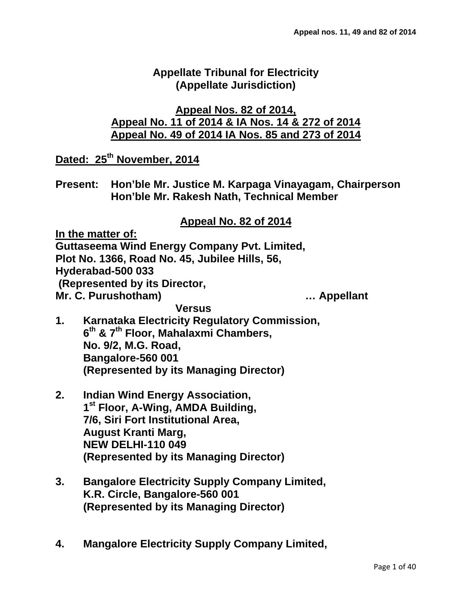### **Appellate Tribunal for Electricity (Appellate Jurisdiction)**

### **Appeal Nos. 82 of 2014, Appeal No. 11 of 2014 & IA Nos. 14 & 272 of 2014 Appeal No. 49 of 2014 IA Nos. 85 and 273 of 2014**

**Dated: 25th November, 2014**

**Present: Hon'ble Mr. Justice M. Karpaga Vinayagam, Chairperson Hon'ble Mr. Rakesh Nath, Technical Member**

### **Appeal No. 82 of 2014**

**In the matter of: Guttaseema Wind Energy Company Pvt. Limited, Plot No. 1366, Road No. 45, Jubilee Hills, 56, Hyderabad-500 033 (Represented by its Director, Mr. C. Purushotham) … Appellant Versus**

- **1. Karnataka Electricity Regulatory Commission, 6th & 7th Floor, Mahalaxmi Chambers, No. 9/2, M.G. Road, Bangalore-560 001 (Represented by its Managing Director)**
- **2. Indian Wind Energy Association, 1st Floor, A-Wing, AMDA Building, 7/6, Siri Fort Institutional Area, August Kranti Marg, NEW DELHI-110 049 (Represented by its Managing Director)**
- **3. Bangalore Electricity Supply Company Limited, K.R. Circle, Bangalore-560 001 (Represented by its Managing Director)**
- **4. Mangalore Electricity Supply Company Limited,**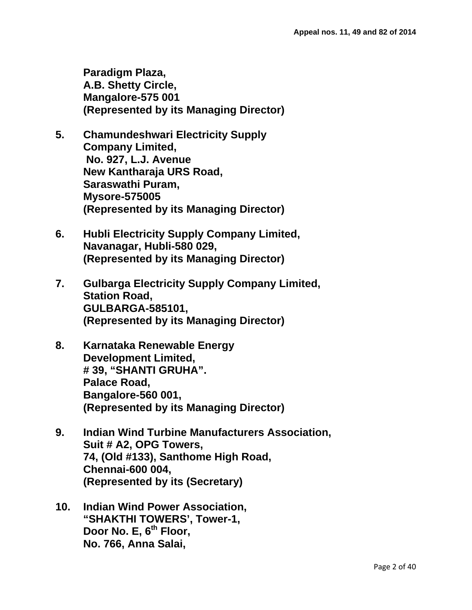**Paradigm Plaza, A.B. Shetty Circle, Mangalore-575 001 (Represented by its Managing Director)**

- **5. Chamundeshwari Electricity Supply Company Limited, No. 927, L.J. Avenue New Kantharaja URS Road, Saraswathi Puram, Mysore-575005 (Represented by its Managing Director)**
- **6. Hubli Electricity Supply Company Limited, Navanagar, Hubli-580 029, (Represented by its Managing Director)**
- **7. Gulbarga Electricity Supply Company Limited, Station Road, GULBARGA-585101, (Represented by its Managing Director)**
- **8. Karnataka Renewable Energy Development Limited, # 39, "SHANTI GRUHA". Palace Road, Bangalore-560 001, (Represented by its Managing Director)**
- **9. Indian Wind Turbine Manufacturers Association, Suit # A2, OPG Towers, 74, (Old #133), Santhome High Road, Chennai-600 004, (Represented by its (Secretary)**
- **10. Indian Wind Power Association, "SHAKTHI TOWERS', Tower-1, Door No. E, 6th Floor, No. 766, Anna Salai,**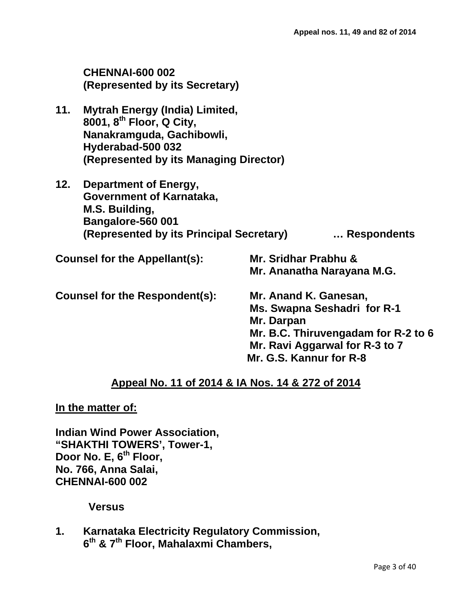|                                | <b>CHENNAI-600 002</b><br>(Represented by its Secretary)                                                                                                                  |                                                                                                                                                                        |             |
|--------------------------------|---------------------------------------------------------------------------------------------------------------------------------------------------------------------------|------------------------------------------------------------------------------------------------------------------------------------------------------------------------|-------------|
| 11.                            | <b>Mytrah Energy (India) Limited,</b><br>8001, 8 <sup>th</sup> Floor, Q City,<br>Nanakramguda, Gachibowli,<br>Hyderabad-500 032<br>(Represented by its Managing Director) |                                                                                                                                                                        |             |
| 12.                            | Department of Energy,<br>Government of Karnataka,<br>M.S. Building,<br>Bangalore-560 001<br>(Represented by its Principal Secretary)                                      |                                                                                                                                                                        | Respondents |
| Counsel for the Appellant(s):  |                                                                                                                                                                           | Mr. Sridhar Prabhu &<br>Mr. Ananatha Narayana M.G.                                                                                                                     |             |
| Counsel for the Respondent(s): |                                                                                                                                                                           | Mr. Anand K. Ganesan,<br>Ms. Swapna Seshadri for R-1<br>Mr. Darpan<br>Mr. B.C. Thiruvengadam for R-2 to 6<br>Mr. Ravi Aggarwal for R-3 to 7<br>Mr. G.S. Kannur for R-8 |             |

### **Appeal No. 11 of 2014 & IA Nos. 14 & 272 of 2014**

**In the matter of:**

**Indian Wind Power Association, "SHAKTHI TOWERS', Tower-1, Door No. E, 6th Floor, No. 766, Anna Salai, CHENNAI-600 002**

#### **Versus**

**1. Karnataka Electricity Regulatory Commission, 6th & 7th Floor, Mahalaxmi Chambers,**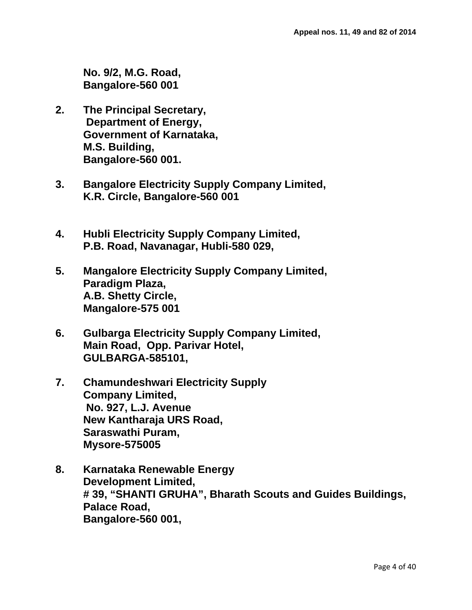**No. 9/2, M.G. Road, Bangalore-560 001**

- **2. The Principal Secretary, Department of Energy, Government of Karnataka, M.S. Building, Bangalore-560 001.**
- **3. Bangalore Electricity Supply Company Limited, K.R. Circle, Bangalore-560 001**
- **4. Hubli Electricity Supply Company Limited, P.B. Road, Navanagar, Hubli-580 029,**
- **5. Mangalore Electricity Supply Company Limited, Paradigm Plaza, A.B. Shetty Circle, Mangalore-575 001**
- **6. Gulbarga Electricity Supply Company Limited, Main Road, Opp. Parivar Hotel, GULBARGA-585101,**
- **7. Chamundeshwari Electricity Supply Company Limited, No. 927, L.J. Avenue New Kantharaja URS Road, Saraswathi Puram, Mysore-575005**
- **8. Karnataka Renewable Energy Development Limited, # 39, "SHANTI GRUHA", Bharath Scouts and Guides Buildings, Palace Road, Bangalore-560 001,**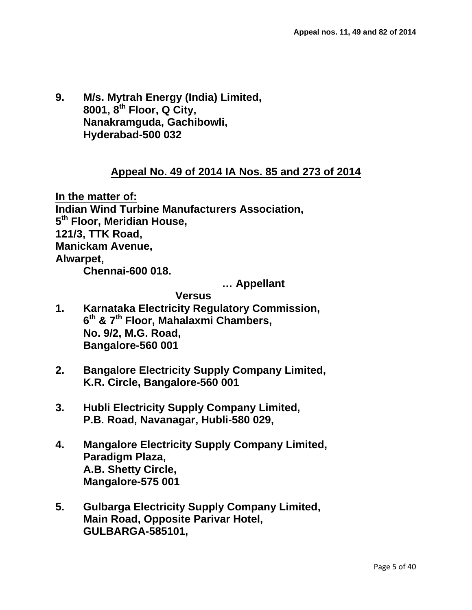**9. M/s. Mytrah Energy (India) Limited, 8001, 8th Floor, Q City, Nanakramguda, Gachibowli, Hyderabad-500 032**

#### **Appeal No. 49 of 2014 IA Nos. 85 and 273 of 2014**

**In the matter of: Indian Wind Turbine Manufacturers Association, 5th Floor, Meridian House, 121/3, TTK Road, Manickam Avenue, Alwarpet, Chennai-600 018.** 

**… Appellant**

#### **Versus**

- **1. Karnataka Electricity Regulatory Commission, 6th & 7th Floor, Mahalaxmi Chambers, No. 9/2, M.G. Road, Bangalore-560 001**
- **2. Bangalore Electricity Supply Company Limited, K.R. Circle, Bangalore-560 001**
- **3. Hubli Electricity Supply Company Limited, P.B. Road, Navanagar, Hubli-580 029,**
- **4. Mangalore Electricity Supply Company Limited, Paradigm Plaza, A.B. Shetty Circle, Mangalore-575 001**
- **5. Gulbarga Electricity Supply Company Limited, Main Road, Opposite Parivar Hotel, GULBARGA-585101,**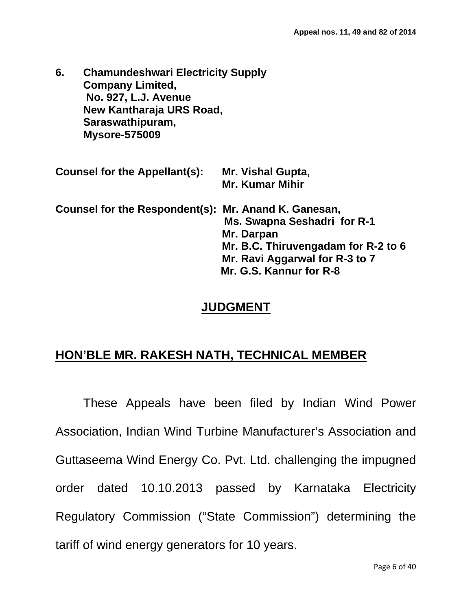**6. Chamundeshwari Electricity Supply Company Limited, No. 927, L.J. Avenue New Kantharaja URS Road, Saraswathipuram, Mysore-575009**

| <b>Counsel for the Appellant(s):</b>                 | Mr. Vishal Gupta,<br><b>Mr. Kumar Mihir</b> |  |
|------------------------------------------------------|---------------------------------------------|--|
| Counsel for the Respondent(s): Mr. Anand K. Ganesan, | Ms. Swapna Seshadri for R-1<br>Mr. Darpan   |  |
|                                                      | Mr. B.C. Thiruvengadam for R-2 to 6         |  |
|                                                      | Mr. Ravi Aggarwal for R-3 to 7              |  |
|                                                      | Mr. G.S. Kannur for R-8                     |  |

### **JUDGMENT**

### **HON'BLE MR. RAKESH NATH, TECHNICAL MEMBER**

These Appeals have been filed by Indian Wind Power Association, Indian Wind Turbine Manufacturer's Association and Guttaseema Wind Energy Co. Pvt. Ltd. challenging the impugned order dated 10.10.2013 passed by Karnataka Electricity Regulatory Commission ("State Commission") determining the tariff of wind energy generators for 10 years.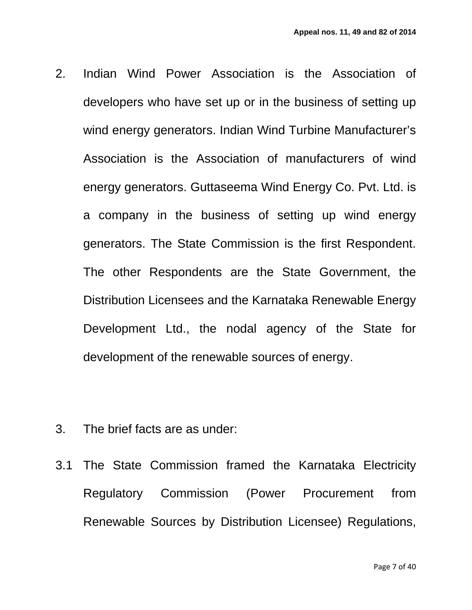- 2. Indian Wind Power Association is the Association of developers who have set up or in the business of setting up wind energy generators. Indian Wind Turbine Manufacturer's Association is the Association of manufacturers of wind energy generators. Guttaseema Wind Energy Co. Pvt. Ltd. is a company in the business of setting up wind energy generators. The State Commission is the first Respondent. The other Respondents are the State Government, the Distribution Licensees and the Karnataka Renewable Energy Development Ltd., the nodal agency of the State for development of the renewable sources of energy.
- 3. The brief facts are as under:
- 3.1 The State Commission framed the Karnataka Electricity Regulatory Commission (Power Procurement from Renewable Sources by Distribution Licensee) Regulations,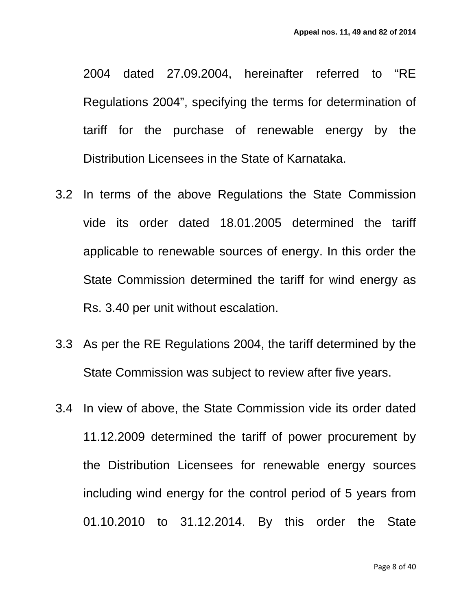2004 dated 27.09.2004, hereinafter referred to "RE Regulations 2004", specifying the terms for determination of tariff for the purchase of renewable energy by the Distribution Licensees in the State of Karnataka.

- 3.2 In terms of the above Regulations the State Commission vide its order dated 18.01.2005 determined the tariff applicable to renewable sources of energy. In this order the State Commission determined the tariff for wind energy as Rs. 3.40 per unit without escalation.
- 3.3 As per the RE Regulations 2004, the tariff determined by the State Commission was subject to review after five years.
- 3.4 In view of above, the State Commission vide its order dated 11.12.2009 determined the tariff of power procurement by the Distribution Licensees for renewable energy sources including wind energy for the control period of 5 years from 01.10.2010 to 31.12.2014. By this order the State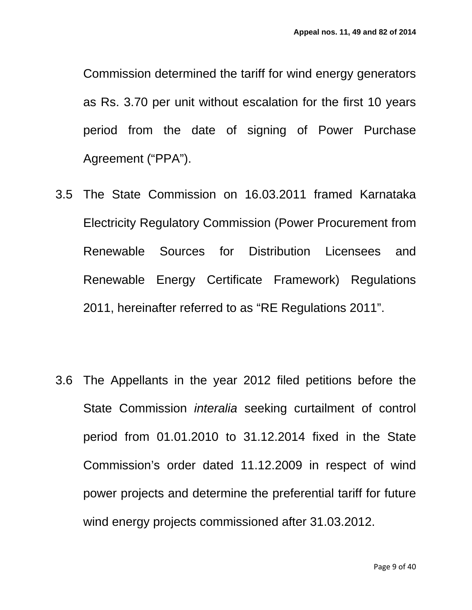Commission determined the tariff for wind energy generators as Rs. 3.70 per unit without escalation for the first 10 years period from the date of signing of Power Purchase Agreement ("PPA").

- 3.5 The State Commission on 16.03.2011 framed Karnataka Electricity Regulatory Commission (Power Procurement from Renewable Sources for Distribution Licensees and Renewable Energy Certificate Framework) Regulations 2011, hereinafter referred to as "RE Regulations 2011".
- 3.6 The Appellants in the year 2012 filed petitions before the State Commission *interalia* seeking curtailment of control period from 01.01.2010 to 31.12.2014 fixed in the State Commission's order dated 11.12.2009 in respect of wind power projects and determine the preferential tariff for future wind energy projects commissioned after 31.03.2012.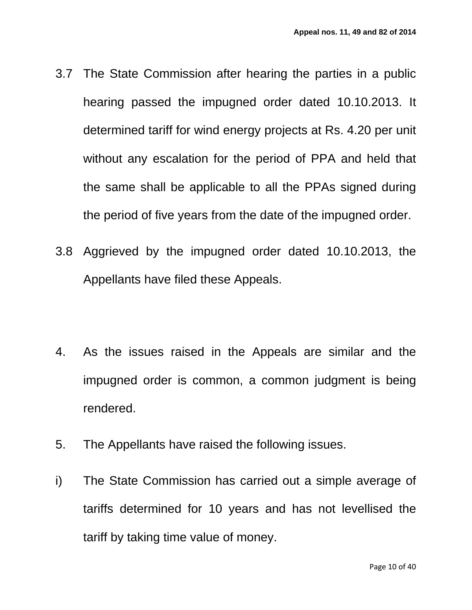- 3.7 The State Commission after hearing the parties in a public hearing passed the impugned order dated 10.10.2013. It determined tariff for wind energy projects at Rs. 4.20 per unit without any escalation for the period of PPA and held that the same shall be applicable to all the PPAs signed during the period of five years from the date of the impugned order.
- 3.8 Aggrieved by the impugned order dated 10.10.2013, the Appellants have filed these Appeals.
- 4. As the issues raised in the Appeals are similar and the impugned order is common, a common judgment is being rendered.
- 5. The Appellants have raised the following issues.
- i) The State Commission has carried out a simple average of tariffs determined for 10 years and has not levellised the tariff by taking time value of money.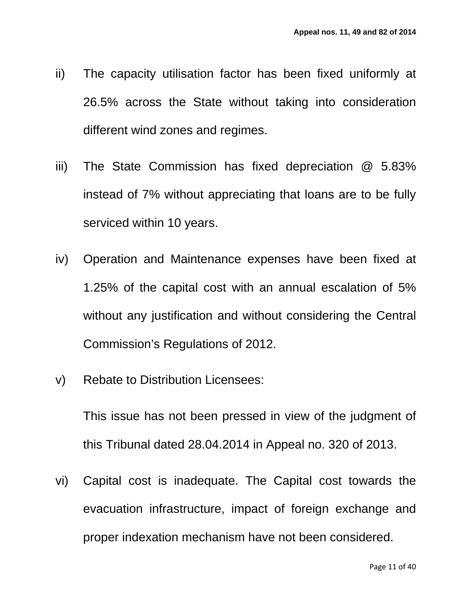- ii) The capacity utilisation factor has been fixed uniformly at 26.5% across the State without taking into consideration different wind zones and regimes.
- iii) The State Commission has fixed depreciation @ 5.83% instead of 7% without appreciating that loans are to be fully serviced within 10 years.
- iv) Operation and Maintenance expenses have been fixed at 1.25% of the capital cost with an annual escalation of 5% without any justification and without considering the Central Commission's Regulations of 2012.
- v) Rebate to Distribution Licensees:

This issue has not been pressed in view of the judgment of this Tribunal dated 28.04.2014 in Appeal no. 320 of 2013.

vi) Capital cost is inadequate. The Capital cost towards the evacuation infrastructure, impact of foreign exchange and proper indexation mechanism have not been considered.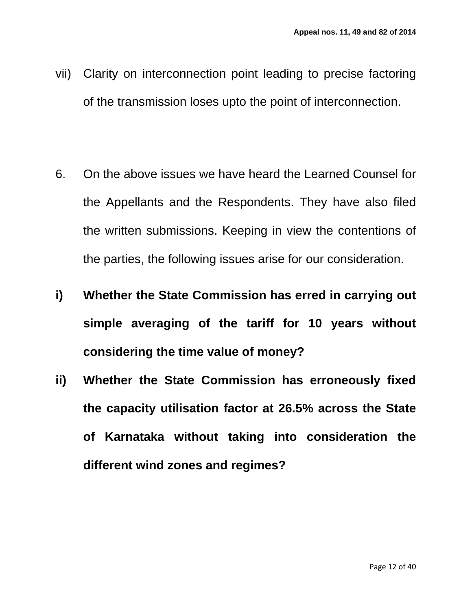- vii) Clarity on interconnection point leading to precise factoring of the transmission loses upto the point of interconnection.
- 6. On the above issues we have heard the Learned Counsel for the Appellants and the Respondents. They have also filed the written submissions. Keeping in view the contentions of the parties, the following issues arise for our consideration.
- **i) Whether the State Commission has erred in carrying out simple averaging of the tariff for 10 years without considering the time value of money?**
- **ii) Whether the State Commission has erroneously fixed the capacity utilisation factor at 26.5% across the State of Karnataka without taking into consideration the different wind zones and regimes?**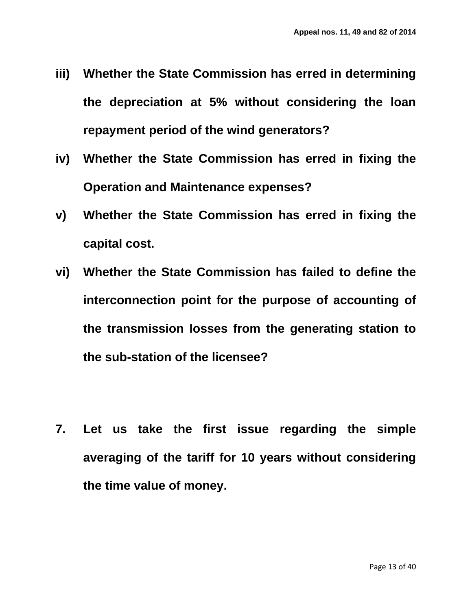- **iii) Whether the State Commission has erred in determining the depreciation at 5% without considering the loan repayment period of the wind generators?**
- **iv) Whether the State Commission has erred in fixing the Operation and Maintenance expenses?**
- **v) Whether the State Commission has erred in fixing the capital cost.**
- **vi) Whether the State Commission has failed to define the interconnection point for the purpose of accounting of the transmission losses from the generating station to the sub-station of the licensee?**
- **7. Let us take the first issue regarding the simple averaging of the tariff for 10 years without considering the time value of money.**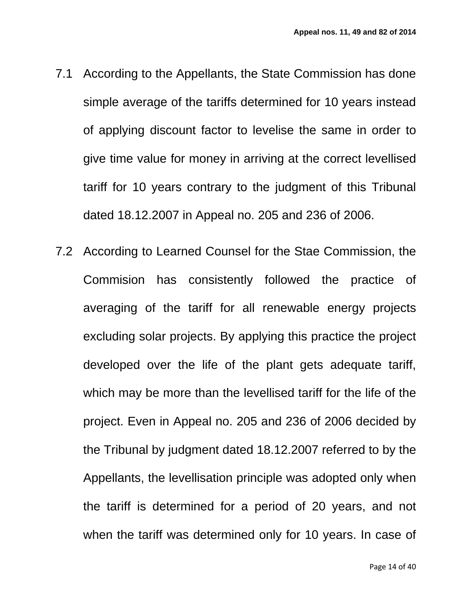- 7.1 According to the Appellants, the State Commission has done simple average of the tariffs determined for 10 years instead of applying discount factor to levelise the same in order to give time value for money in arriving at the correct levellised tariff for 10 years contrary to the judgment of this Tribunal dated 18.12.2007 in Appeal no. 205 and 236 of 2006.
- 7.2 According to Learned Counsel for the Stae Commission, the Commision has consistently followed the practice of averaging of the tariff for all renewable energy projects excluding solar projects. By applying this practice the project developed over the life of the plant gets adequate tariff, which may be more than the levellised tariff for the life of the project. Even in Appeal no. 205 and 236 of 2006 decided by the Tribunal by judgment dated 18.12.2007 referred to by the Appellants, the levellisation principle was adopted only when the tariff is determined for a period of 20 years, and not when the tariff was determined only for 10 years. In case of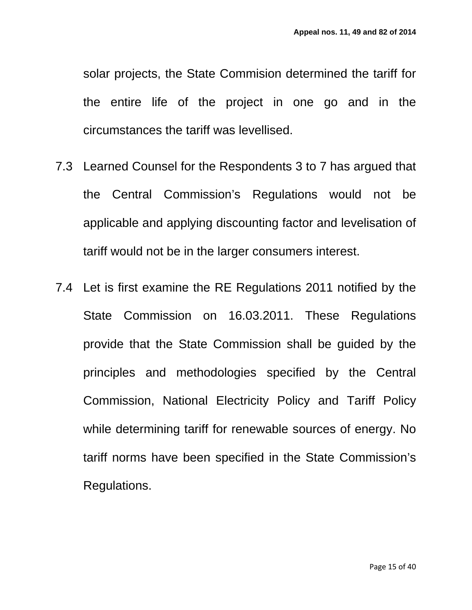solar projects, the State Commision determined the tariff for the entire life of the project in one go and in the circumstances the tariff was levellised.

- 7.3 Learned Counsel for the Respondents 3 to 7 has argued that the Central Commission's Regulations would not be applicable and applying discounting factor and levelisation of tariff would not be in the larger consumers interest.
- 7.4 Let is first examine the RE Regulations 2011 notified by the State Commission on 16.03.2011. These Regulations provide that the State Commission shall be guided by the principles and methodologies specified by the Central Commission, National Electricity Policy and Tariff Policy while determining tariff for renewable sources of energy. No tariff norms have been specified in the State Commission's Regulations.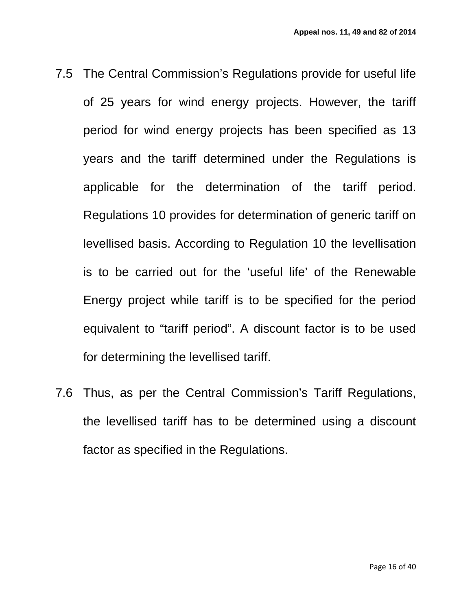- 7.5 The Central Commission's Regulations provide for useful life of 25 years for wind energy projects. However, the tariff period for wind energy projects has been specified as 13 years and the tariff determined under the Regulations is applicable for the determination of the tariff period. Regulations 10 provides for determination of generic tariff on levellised basis. According to Regulation 10 the levellisation is to be carried out for the 'useful life' of the Renewable Energy project while tariff is to be specified for the period equivalent to "tariff period". A discount factor is to be used for determining the levellised tariff.
- 7.6 Thus, as per the Central Commission's Tariff Regulations, the levellised tariff has to be determined using a discount factor as specified in the Regulations.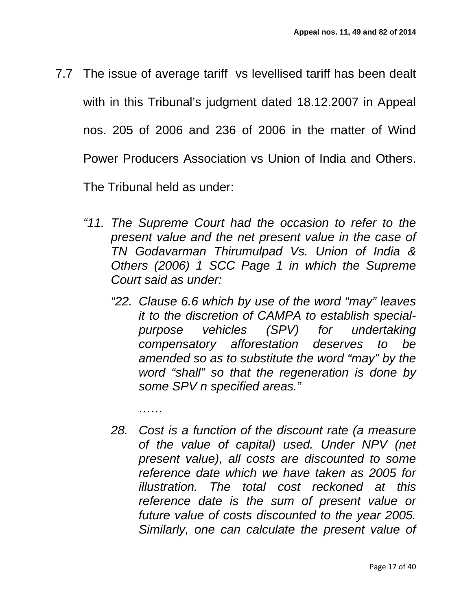7.7 The issue of average tariff vs levellised tariff has been dealt with in this Tribunal's judgment dated 18.12.2007 in Appeal nos. 205 of 2006 and 236 of 2006 in the matter of Wind Power Producers Association vs Union of India and Others.

The Tribunal held as under:

*……*

- *"11. The Supreme Court had the occasion to refer to the present value and the net present value in the case of TN Godavarman Thirumulpad Vs. Union of India & Others (2006) 1 SCC Page 1 in which the Supreme Court said as under:* 
	- *"22. Clause 6.6 which by use of the word "may" leaves it to the discretion of CAMPA to establish specialpurpose vehicles (SPV) for undertaking compensatory afforestation deserves to be amended so as to substitute the word "may" by the word "shall" so that the regeneration is done by some SPV n specified areas."*
	- *28. Cost is a function of the discount rate (a measure of the value of capital) used. Under NPV (net present value), all costs are discounted to some reference date which we have taken as 2005 for illustration. The total cost reckoned at this reference date is the sum of present value or future value of costs discounted to the year 2005. Similarly, one can calculate the present value of*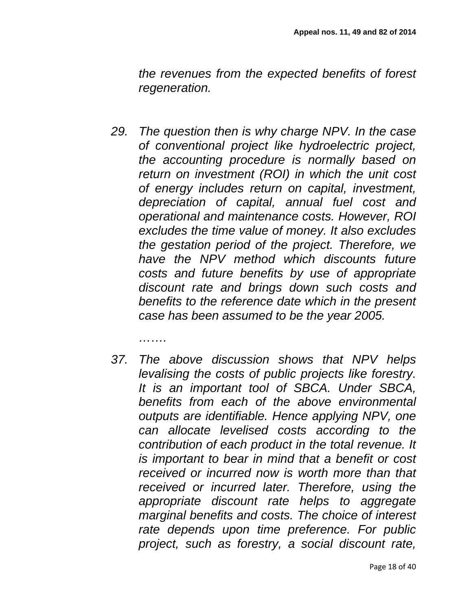*the revenues from the expected benefits of forest regeneration.* 

- *29. The question then is why charge NPV. In the case of conventional project like hydroelectric project, the accounting procedure is normally based on return on investment (ROI) in which the unit cost of energy includes return on capital, investment, depreciation of capital, annual fuel cost and operational and maintenance costs. However, ROI excludes the time value of money. It also excludes the gestation period of the project. Therefore, we have the NPV method which discounts future costs and future benefits by use of appropriate discount rate and brings down such costs and benefits to the reference date which in the present case has been assumed to be the year 2005.* 
	- *…….*
- *37. The above discussion shows that NPV helps levalising the costs of public projects like forestry. It is an important tool of SBCA. Under SBCA, benefits from each of the above environmental outputs are identifiable. Hence applying NPV, one can allocate levelised costs according to the contribution of each product in the total revenue. It is important to bear in mind that a benefit or cost received or incurred now is worth more than that received or incurred later. Therefore, using the appropriate discount rate helps to aggregate marginal benefits and costs. The choice of interest rate depends upon time preference. For public project, such as forestry, a social discount rate,*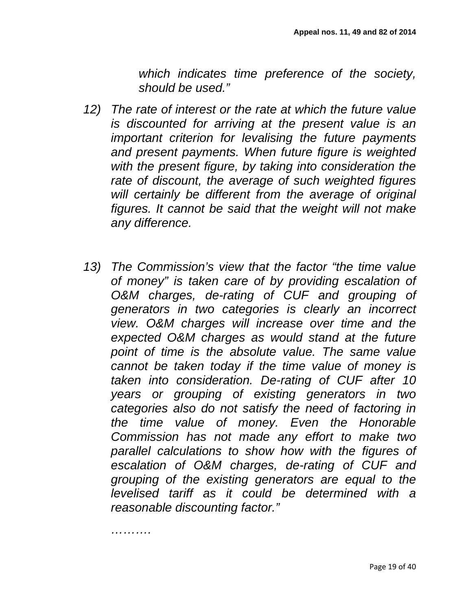*which indicates time preference of the society, should be used."*

- *12) The rate of interest or the rate at which the future value is discounted for arriving at the present value is an important criterion for levalising the future payments and present payments. When future figure is weighted with the present figure, by taking into consideration the rate of discount, the average of such weighted figures will certainly be different from the average of original figures. It cannot be said that the weight will not make any difference.*
- *13) The Commission's view that the factor "the time value of money" is taken care of by providing escalation of O&M charges, de-rating of CUF and grouping of generators in two categories is clearly an incorrect view. O&M charges will increase over time and the expected O&M charges as would stand at the future point of time is the absolute value. The same value cannot be taken today if the time value of money is taken into consideration. De-rating of CUF after 10 years or grouping of existing generators in two categories also do not satisfy the need of factoring in the time value of money. Even the Honorable Commission has not made any effort to make two parallel calculations to show how with the figures of escalation of O&M charges, de-rating of CUF and grouping of the existing generators are equal to the levelised tariff as it could be determined with a reasonable discounting factor."*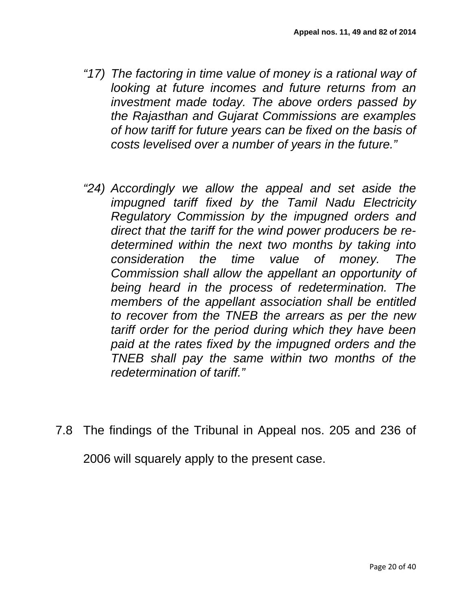- *"17) The factoring in time value of money is a rational way of looking at future incomes and future returns from an investment made today. The above orders passed by the Rajasthan and Gujarat Commissions are examples of how tariff for future years can be fixed on the basis of costs levelised over a number of years in the future."*
- *"24) Accordingly we allow the appeal and set aside the impugned tariff fixed by the Tamil Nadu Electricity Regulatory Commission by the impugned orders and direct that the tariff for the wind power producers be redetermined within the next two months by taking into consideration the time value of money. The Commission shall allow the appellant an opportunity of being heard in the process of redetermination. The members of the appellant association shall be entitled to recover from the TNEB the arrears as per the new tariff order for the period during which they have been paid at the rates fixed by the impugned orders and the TNEB shall pay the same within two months of the redetermination of tariff."*
- 7.8 The findings of the Tribunal in Appeal nos. 205 and 236 of

2006 will squarely apply to the present case.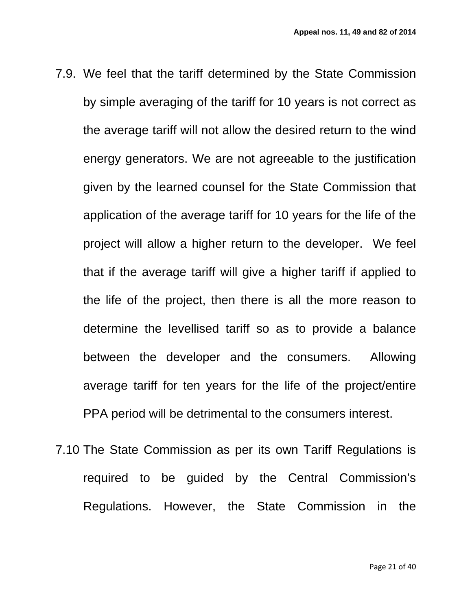- 7.9. We feel that the tariff determined by the State Commission by simple averaging of the tariff for 10 years is not correct as the average tariff will not allow the desired return to the wind energy generators. We are not agreeable to the justification given by the learned counsel for the State Commission that application of the average tariff for 10 years for the life of the project will allow a higher return to the developer. We feel that if the average tariff will give a higher tariff if applied to the life of the project, then there is all the more reason to determine the levellised tariff so as to provide a balance between the developer and the consumers. Allowing average tariff for ten years for the life of the project/entire PPA period will be detrimental to the consumers interest.
- 7.10 The State Commission as per its own Tariff Regulations is required to be guided by the Central Commission's Regulations. However, the State Commission in the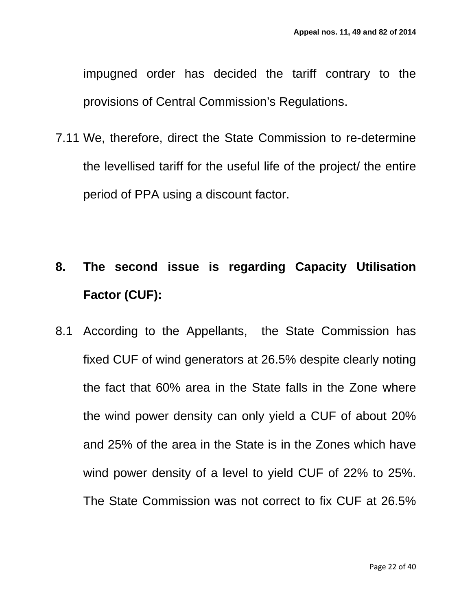impugned order has decided the tariff contrary to the provisions of Central Commission's Regulations.

7.11 We, therefore, direct the State Commission to re-determine the levellised tariff for the useful life of the project/ the entire period of PPA using a discount factor.

# **8. The second issue is regarding Capacity Utilisation Factor (CUF):**

8.1 According to the Appellants, the State Commission has fixed CUF of wind generators at 26.5% despite clearly noting the fact that 60% area in the State falls in the Zone where the wind power density can only yield a CUF of about 20% and 25% of the area in the State is in the Zones which have wind power density of a level to yield CUF of 22% to 25%. The State Commission was not correct to fix CUF at 26.5%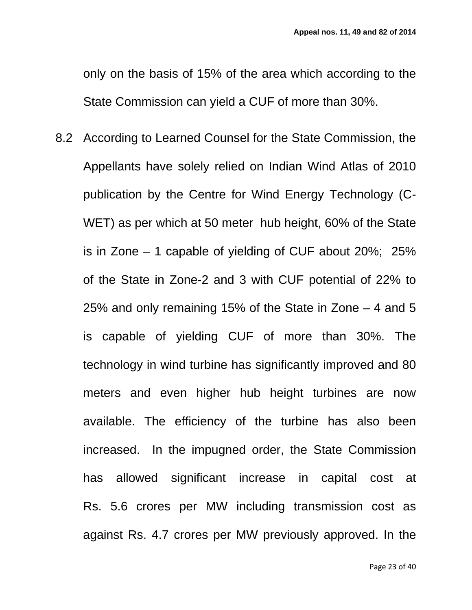only on the basis of 15% of the area which according to the State Commission can yield a CUF of more than 30%.

8.2 According to Learned Counsel for the State Commission, the Appellants have solely relied on Indian Wind Atlas of 2010 publication by the Centre for Wind Energy Technology (C-WET) as per which at 50 meter hub height, 60% of the State is in Zone – 1 capable of yielding of CUF about 20%; 25% of the State in Zone-2 and 3 with CUF potential of 22% to 25% and only remaining 15% of the State in Zone – 4 and 5 is capable of yielding CUF of more than 30%. The technology in wind turbine has significantly improved and 80 meters and even higher hub height turbines are now available. The efficiency of the turbine has also been increased. In the impugned order, the State Commission has allowed significant increase in capital cost at Rs. 5.6 crores per MW including transmission cost as against Rs. 4.7 crores per MW previously approved. In the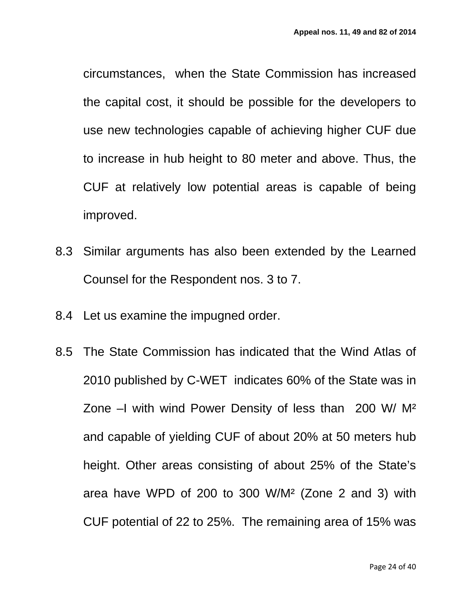circumstances, when the State Commission has increased the capital cost, it should be possible for the developers to use new technologies capable of achieving higher CUF due to increase in hub height to 80 meter and above. Thus, the CUF at relatively low potential areas is capable of being improved.

- 8.3 Similar arguments has also been extended by the Learned Counsel for the Respondent nos. 3 to 7.
- 8.4 Let us examine the impugned order.
- 8.5 The State Commission has indicated that the Wind Atlas of 2010 published by C-WET indicates 60% of the State was in Zone –I with wind Power Density of less than 200 W/ M² and capable of yielding CUF of about 20% at 50 meters hub height. Other areas consisting of about 25% of the State's area have WPD of 200 to 300 W/M² (Zone 2 and 3) with CUF potential of 22 to 25%. The remaining area of 15% was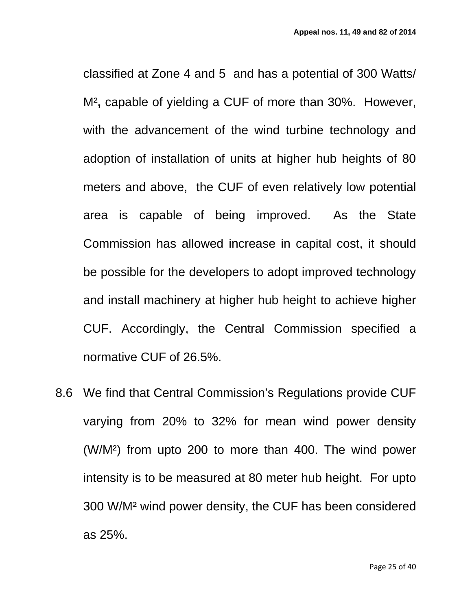classified at Zone 4 and 5 and has a potential of 300 Watts/ M²**,** capable of yielding a CUF of more than 30%. However, with the advancement of the wind turbine technology and adoption of installation of units at higher hub heights of 80 meters and above, the CUF of even relatively low potential area is capable of being improved. As the State Commission has allowed increase in capital cost, it should be possible for the developers to adopt improved technology and install machinery at higher hub height to achieve higher CUF. Accordingly, the Central Commission specified a normative CUF of 26.5%.

8.6 We find that Central Commission's Regulations provide CUF varying from 20% to 32% for mean wind power density (W/M²) from upto 200 to more than 400. The wind power intensity is to be measured at 80 meter hub height. For upto 300 W/M² wind power density, the CUF has been considered as 25%.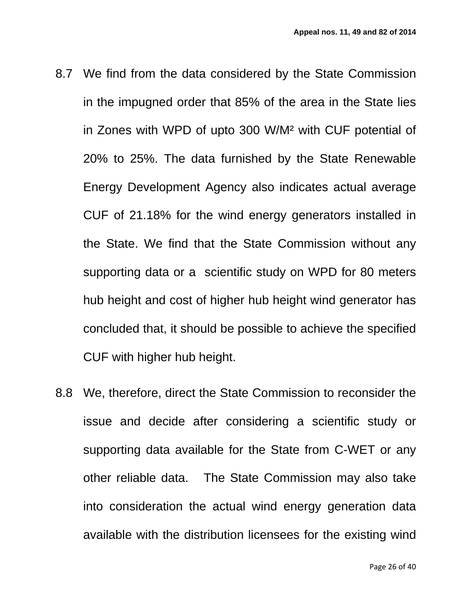- 8.7 We find from the data considered by the State Commission in the impugned order that 85% of the area in the State lies in Zones with WPD of upto 300 W/M² with CUF potential of 20% to 25%. The data furnished by the State Renewable Energy Development Agency also indicates actual average CUF of 21.18% for the wind energy generators installed in the State. We find that the State Commission without any supporting data or a scientific study on WPD for 80 meters hub height and cost of higher hub height wind generator has concluded that, it should be possible to achieve the specified CUF with higher hub height.
- 8.8 We, therefore, direct the State Commission to reconsider the issue and decide after considering a scientific study or supporting data available for the State from C-WET or any other reliable data. The State Commission may also take into consideration the actual wind energy generation data available with the distribution licensees for the existing wind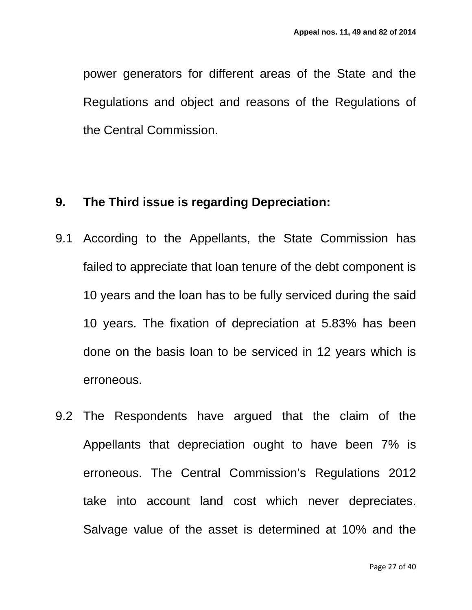power generators for different areas of the State and the Regulations and object and reasons of the Regulations of the Central Commission.

### **9. The Third issue is regarding Depreciation:**

- 9.1 According to the Appellants, the State Commission has failed to appreciate that loan tenure of the debt component is 10 years and the loan has to be fully serviced during the said 10 years. The fixation of depreciation at 5.83% has been done on the basis loan to be serviced in 12 years which is erroneous.
- 9.2 The Respondents have argued that the claim of the Appellants that depreciation ought to have been 7% is erroneous. The Central Commission's Regulations 2012 take into account land cost which never depreciates. Salvage value of the asset is determined at 10% and the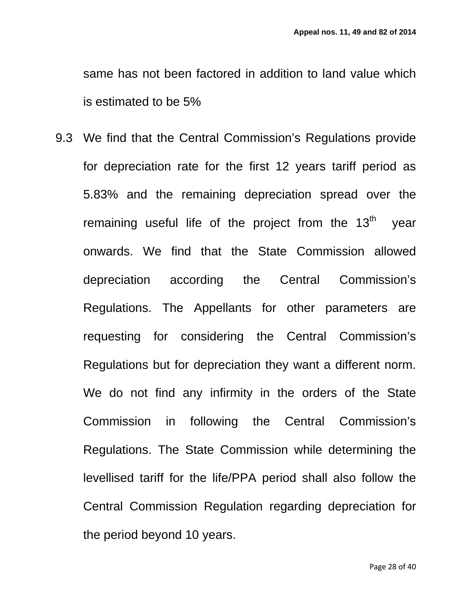same has not been factored in addition to land value which is estimated to be 5%

9.3 We find that the Central Commission's Regulations provide for depreciation rate for the first 12 years tariff period as 5.83% and the remaining depreciation spread over the remaining useful life of the project from the  $13<sup>th</sup>$  year onwards. We find that the State Commission allowed depreciation according the Central Commission's Regulations. The Appellants for other parameters are requesting for considering the Central Commission's Regulations but for depreciation they want a different norm. We do not find any infirmity in the orders of the State Commission in following the Central Commission's Regulations. The State Commission while determining the levellised tariff for the life/PPA period shall also follow the Central Commission Regulation regarding depreciation for the period beyond 10 years.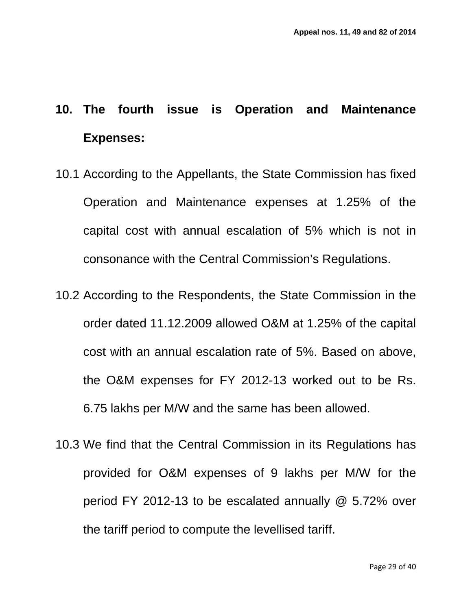## **10. The fourth issue is Operation and Maintenance Expenses:**

- 10.1 According to the Appellants, the State Commission has fixed Operation and Maintenance expenses at 1.25% of the capital cost with annual escalation of 5% which is not in consonance with the Central Commission's Regulations.
- 10.2 According to the Respondents, the State Commission in the order dated 11.12.2009 allowed O&M at 1.25% of the capital cost with an annual escalation rate of 5%. Based on above, the O&M expenses for FY 2012-13 worked out to be Rs. 6.75 lakhs per M/W and the same has been allowed.
- 10.3 We find that the Central Commission in its Regulations has provided for O&M expenses of 9 lakhs per M/W for the period FY 2012-13 to be escalated annually @ 5.72% over the tariff period to compute the levellised tariff.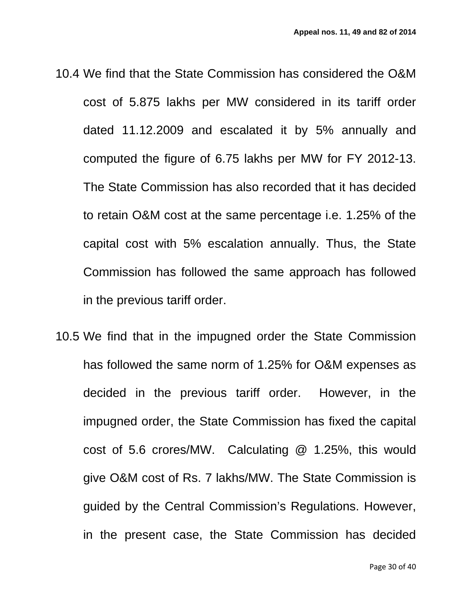- 10.4 We find that the State Commission has considered the O&M cost of 5.875 lakhs per MW considered in its tariff order dated 11.12.2009 and escalated it by 5% annually and computed the figure of 6.75 lakhs per MW for FY 2012-13. The State Commission has also recorded that it has decided to retain O&M cost at the same percentage i.e. 1.25% of the capital cost with 5% escalation annually. Thus, the State Commission has followed the same approach has followed in the previous tariff order.
- 10.5 We find that in the impugned order the State Commission has followed the same norm of 1.25% for O&M expenses as decided in the previous tariff order. However, in the impugned order, the State Commission has fixed the capital cost of 5.6 crores/MW. Calculating @ 1.25%, this would give O&M cost of Rs. 7 lakhs/MW. The State Commission is guided by the Central Commission's Regulations. However, in the present case, the State Commission has decided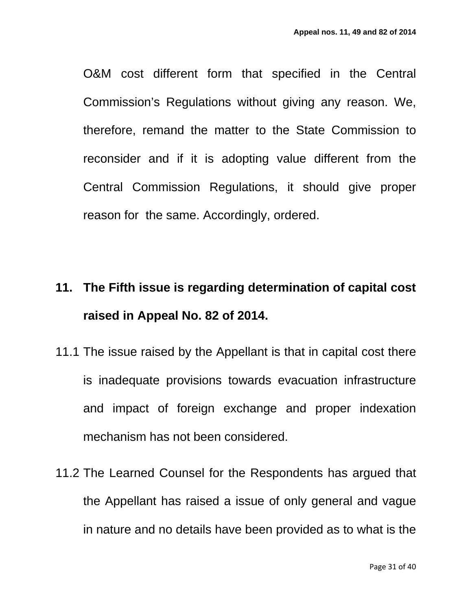O&M cost different form that specified in the Central Commission's Regulations without giving any reason. We, therefore, remand the matter to the State Commission to reconsider and if it is adopting value different from the Central Commission Regulations, it should give proper reason for the same. Accordingly, ordered.

## **11. The Fifth issue is regarding determination of capital cost raised in Appeal No. 82 of 2014.**

- 11.1 The issue raised by the Appellant is that in capital cost there is inadequate provisions towards evacuation infrastructure and impact of foreign exchange and proper indexation mechanism has not been considered.
- 11.2 The Learned Counsel for the Respondents has argued that the Appellant has raised a issue of only general and vague in nature and no details have been provided as to what is the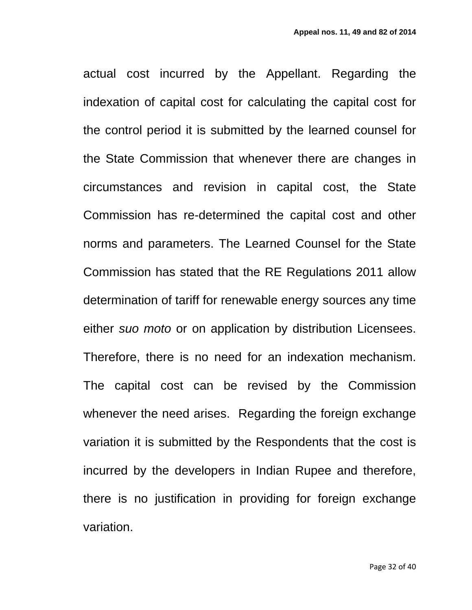actual cost incurred by the Appellant. Regarding the indexation of capital cost for calculating the capital cost for the control period it is submitted by the learned counsel for the State Commission that whenever there are changes in circumstances and revision in capital cost, the State Commission has re-determined the capital cost and other norms and parameters. The Learned Counsel for the State Commission has stated that the RE Regulations 2011 allow determination of tariff for renewable energy sources any time either *suo moto* or on application by distribution Licensees. Therefore, there is no need for an indexation mechanism. The capital cost can be revised by the Commission whenever the need arises. Regarding the foreign exchange variation it is submitted by the Respondents that the cost is incurred by the developers in Indian Rupee and therefore, there is no justification in providing for foreign exchange variation.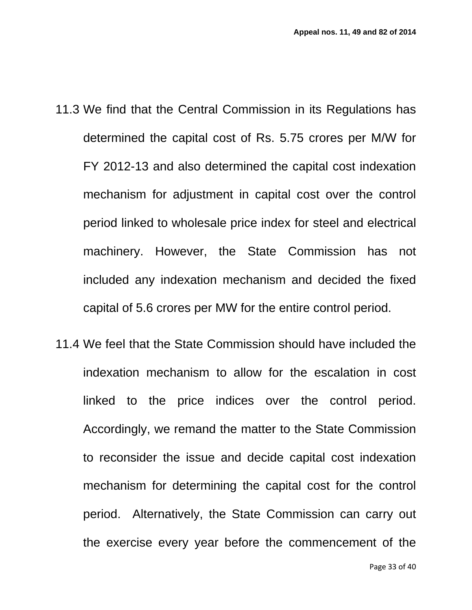- 11.3 We find that the Central Commission in its Regulations has determined the capital cost of Rs. 5.75 crores per M/W for FY 2012-13 and also determined the capital cost indexation mechanism for adjustment in capital cost over the control period linked to wholesale price index for steel and electrical machinery. However, the State Commission has not included any indexation mechanism and decided the fixed capital of 5.6 crores per MW for the entire control period.
- 11.4 We feel that the State Commission should have included the indexation mechanism to allow for the escalation in cost linked to the price indices over the control period. Accordingly, we remand the matter to the State Commission to reconsider the issue and decide capital cost indexation mechanism for determining the capital cost for the control period. Alternatively, the State Commission can carry out the exercise every year before the commencement of the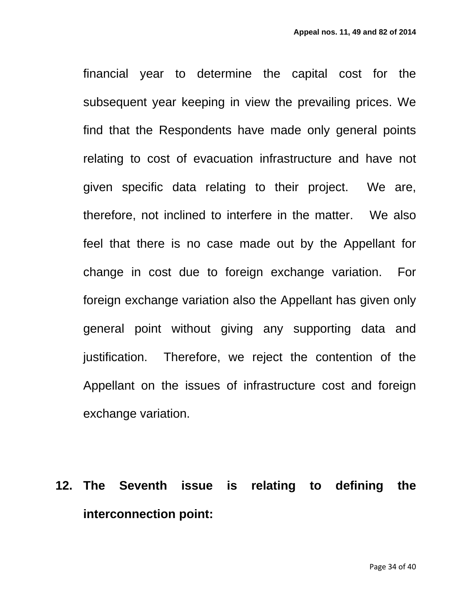financial year to determine the capital cost for the subsequent year keeping in view the prevailing prices. We find that the Respondents have made only general points relating to cost of evacuation infrastructure and have not given specific data relating to their project. We are, therefore, not inclined to interfere in the matter. We also feel that there is no case made out by the Appellant for change in cost due to foreign exchange variation. For foreign exchange variation also the Appellant has given only general point without giving any supporting data and justification. Therefore, we reject the contention of the Appellant on the issues of infrastructure cost and foreign exchange variation.

## **12. The Seventh issue is relating to defining the interconnection point:**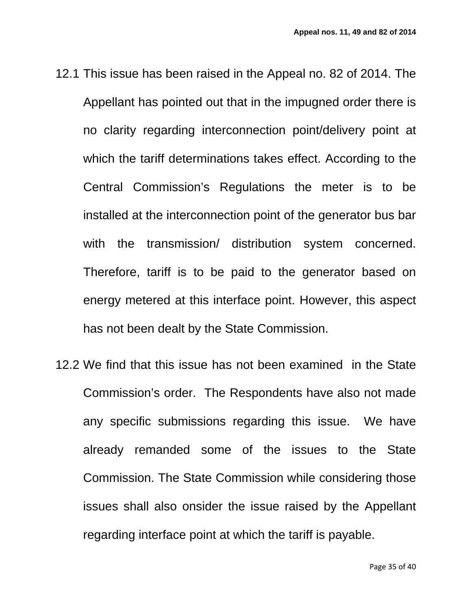- 12.1 This issue has been raised in the Appeal no. 82 of 2014. The Appellant has pointed out that in the impugned order there is no clarity regarding interconnection point/delivery point at which the tariff determinations takes effect. According to the Central Commission's Regulations the meter is to be installed at the interconnection point of the generator bus bar with the transmission/ distribution system concerned. Therefore, tariff is to be paid to the generator based on energy metered at this interface point. However, this aspect has not been dealt by the State Commission.
- 12.2 We find that this issue has not been examined in the State Commission's order. The Respondents have also not made any specific submissions regarding this issue. We have already remanded some of the issues to the State Commission. The State Commission while considering those issues shall also onsider the issue raised by the Appellant regarding interface point at which the tariff is payable.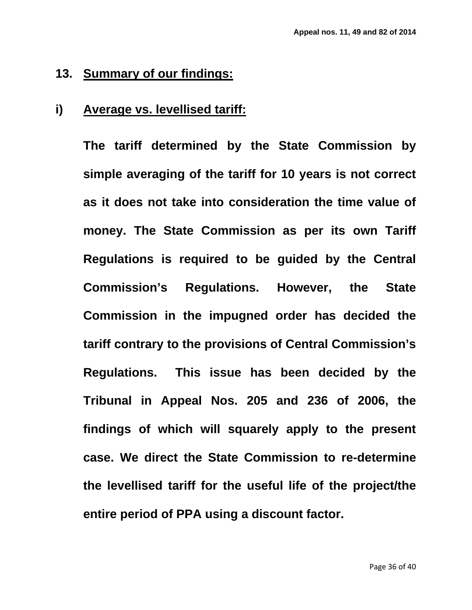### **13. Summary of our findings:**

### **i) Average vs. levellised tariff:**

**The tariff determined by the State Commission by simple averaging of the tariff for 10 years is not correct as it does not take into consideration the time value of money. The State Commission as per its own Tariff Regulations is required to be guided by the Central Commission's Regulations. However, the State Commission in the impugned order has decided the tariff contrary to the provisions of Central Commission's Regulations. This issue has been decided by the Tribunal in Appeal Nos. 205 and 236 of 2006, the findings of which will squarely apply to the present case. We direct the State Commission to re-determine the levellised tariff for the useful life of the project/the entire period of PPA using a discount factor.**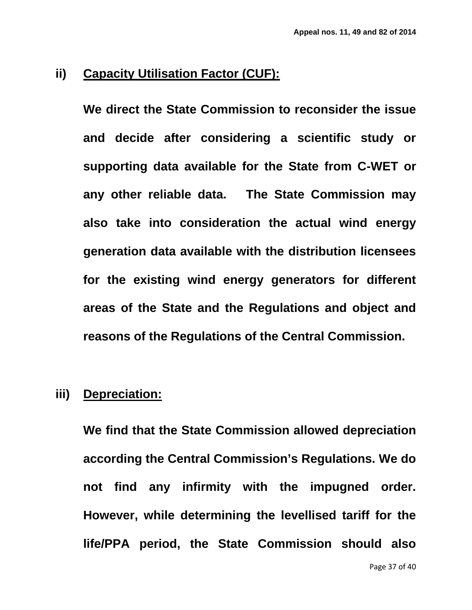### **ii) Capacity Utilisation Factor (CUF):**

**We direct the State Commission to reconsider the issue and decide after considering a scientific study or supporting data available for the State from C-WET or any other reliable data. The State Commission may also take into consideration the actual wind energy generation data available with the distribution licensees for the existing wind energy generators for different areas of the State and the Regulations and object and reasons of the Regulations of the Central Commission.** 

#### **iii) Depreciation:**

**We find that the State Commission allowed depreciation according the Central Commission's Regulations. We do not find any infirmity with the impugned order. However, while determining the levellised tariff for the life/PPA period, the State Commission should also**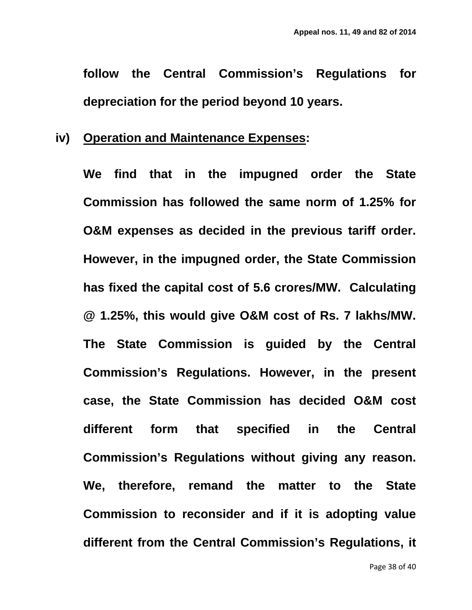**follow the Central Commission's Regulations for depreciation for the period beyond 10 years.** 

### **iv) Operation and Maintenance Expenses :**

**We find that in the impugned order the State Commission has followed the same norm of 1.25% for O&M expenses as decided in the previous tariff order. However, in the impugned order, the State Commission has fixed the capital cost of 5.6 crores/MW. Calculating @ 1.25%, this would give O&M cost of Rs. 7 lakhs/MW. The State Commission is guided by the Central Commission's Regulations. However, in the present case, the State Commission has decided O&M cost different form that specified in the Central Commission's Regulations without giving any reason. We, therefore, remand the matter to the State Commission to reconsider and if it is adopting value different from the Central Commission's Regulations, it**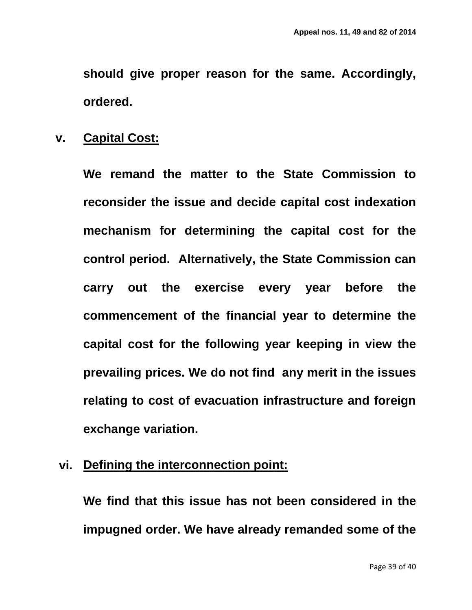**should give proper reason for the same. Accordingly, ordered.** 

### **v. Capital Cost:**

**We remand the matter to the State Commission to reconsider the issue and decide capital cost indexation mechanism for determining the capital cost for the control period. Alternatively, the State Commission can carry out the exercise every year before the commencement of the financial year to determine the capital cost for the following year keeping in view the prevailing prices. We do not find any merit in the issues relating to cost of evacuation infrastructure and foreign exchange variation.**

### **vi. Defining the interconnection point:**

**We find that this issue has not been considered in the impugned order. We have already remanded some of the**